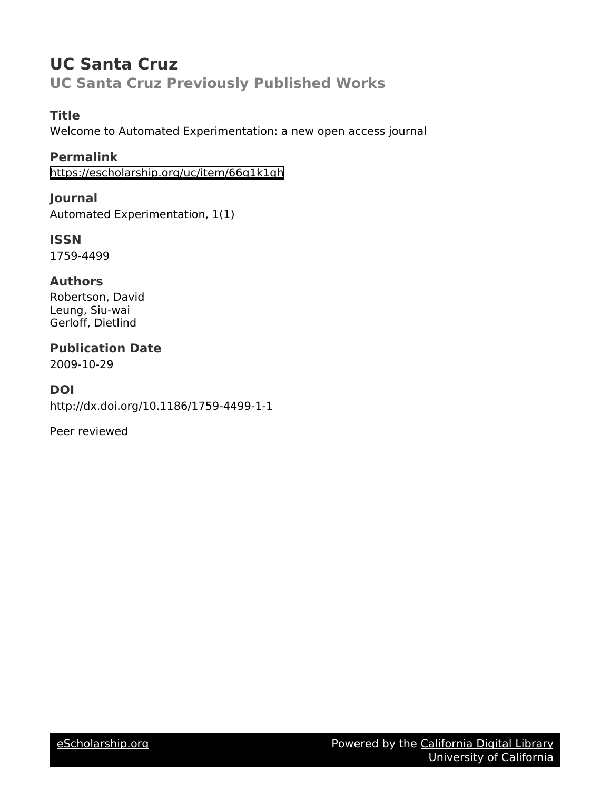# **UC Santa Cruz UC Santa Cruz Previously Published Works**

## **Title**

Welcome to Automated Experimentation: a new open access journal

## **Permalink**

<https://escholarship.org/uc/item/66g1k1qh>

## **Journal**

Automated Experimentation, 1(1)

## **ISSN**

1759-4499

## **Authors**

Robertson, David Leung, Siu-wai Gerloff, Dietlind

# **Publication Date**

2009-10-29

## **DOI**

http://dx.doi.org/10.1186/1759-4499-1-1

Peer reviewed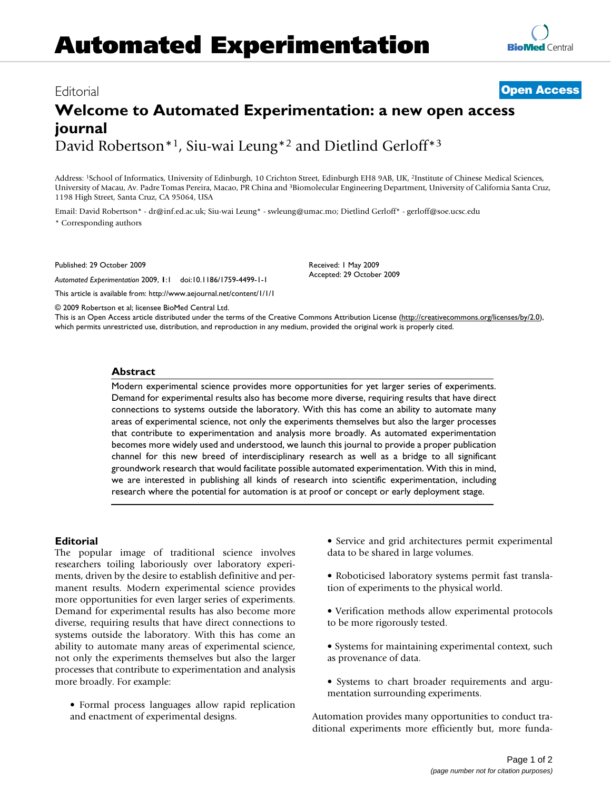# **Automated Experimentation**

### Editorial **[Open Access](http://www.biomedcentral.com/info/about/charter/)**

## **Welcome to Automated Experimentation: a new open access journal** David Robertson\*1, Siu-wai Leung\*2 and Dietlind Gerloff\*3

Address: 1School of Informatics, University of Edinburgh, 10 Crichton Street, Edinburgh EH8 9AB, UK, 2Institute of Chinese Medical Sciences, University of Macau, Av. Padre Tomas Pereira, Macao, PR China and 3Biomolecular Engineering Department, University of California Santa Cruz, 1198 High Street, Santa Cruz, CA 95064, USA

Email: David Robertson\* - dr@inf.ed.ac.uk; Siu-wai Leung\* - swleung@umac.mo; Dietlind Gerloff\* - gerloff@soe.ucsc.edu \* Corresponding authors

Published: 29 October 2009

*Automated Experimentation* 2009, **1**:1 doi:10.1186/1759-4499-1-1

[This article is available from: http://www.aejournal.net/content/1/1/1](http://www.aejournal.net/content/1/1/1)

© 2009 Robertson et al; licensee BioMed Central Ltd.

This is an Open Access article distributed under the terms of the Creative Commons Attribution License [\(http://creativecommons.org/licenses/by/2.0\)](http://creativecommons.org/licenses/by/2.0), which permits unrestricted use, distribution, and reproduction in any medium, provided the original work is properly cited.

Received: 1 May 2009 Accepted: 29 October 2009

#### **Abstract**

Modern experimental science provides more opportunities for yet larger series of experiments. Demand for experimental results also has become more diverse, requiring results that have direct connections to systems outside the laboratory. With this has come an ability to automate many areas of experimental science, not only the experiments themselves but also the larger processes that contribute to experimentation and analysis more broadly. As automated experimentation becomes more widely used and understood, we launch this journal to provide a proper publication channel for this new breed of interdisciplinary research as well as a bridge to all significant groundwork research that would facilitate possible automated experimentation. With this in mind, we are interested in publishing all kinds of research into scientific experimentation, including research where the potential for automation is at proof or concept or early deployment stage.

### **Editorial**

The popular image of traditional science involves researchers toiling laboriously over laboratory experiments, driven by the desire to establish definitive and permanent results. Modern experimental science provides more opportunities for even larger series of experiments. Demand for experimental results has also become more diverse, requiring results that have direct connections to systems outside the laboratory. With this has come an ability to automate many areas of experimental science, not only the experiments themselves but also the larger processes that contribute to experimentation and analysis more broadly. For example:

• Formal process languages allow rapid replication and enactment of experimental designs.

• Service and grid architectures permit experimental data to be shared in large volumes.

• Roboticised laboratory systems permit fast translation of experiments to the physical world.

• Verification methods allow experimental protocols to be more rigorously tested.

• Systems for maintaining experimental context, such as provenance of data.

• Systems to chart broader requirements and argumentation surrounding experiments.

Automation provides many opportunities to conduct traditional experiments more efficiently but, more funda-